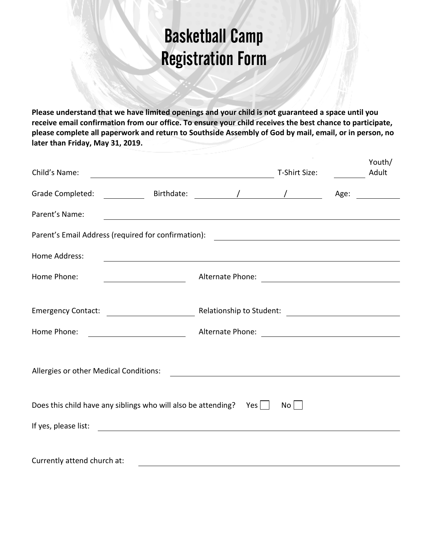## Basketball Camp Registration Form

**Please understand that we have limited openings and your child is not guaranteed a space until you receive email confirmation from our office. To ensure your child receives the best chance to participate, please complete all paperwork and return to Southside Assembly of God by mail, email, or in person, no later than Friday, May 31, 2019.** 

| Child's Name:                                                                                                                                                                                                                  | <u> 1989 - Johann Barbara, martxa alemaniar amerikan a</u>                                                                                                                                                                     |  | T-Shirt Size: |  | Youth/<br>Adult                                                                                                                                                                                                                |
|--------------------------------------------------------------------------------------------------------------------------------------------------------------------------------------------------------------------------------|--------------------------------------------------------------------------------------------------------------------------------------------------------------------------------------------------------------------------------|--|---------------|--|--------------------------------------------------------------------------------------------------------------------------------------------------------------------------------------------------------------------------------|
| Grade Completed:                                                                                                                                                                                                               | example and the set of the set of the set of the set of the set of the set of the set of the set of the set of the set of the set of the set of the set of the set of the set of the set of the set of the set of the set of t |  |               |  | Age: a controller and controller and controller and controller and controller and controller and controller and controller and controller and controller and controller and controller and controller and controller and contr |
| Parent's Name:                                                                                                                                                                                                                 |                                                                                                                                                                                                                                |  |               |  |                                                                                                                                                                                                                                |
| Parent's Email Address (required for confirmation): \\effinition \\effinity \\effinity \\effinity \\effinity \\effinity \\effinity \\effinity \\effinity \\effinity \\effinity \\effinity \\effinity \\effinity \\effinity \\e |                                                                                                                                                                                                                                |  |               |  |                                                                                                                                                                                                                                |
| Home Address:                                                                                                                                                                                                                  | <u> 1989 - Andrea Station Andrea Station (m. 1989)</u>                                                                                                                                                                         |  |               |  |                                                                                                                                                                                                                                |
| Home Phone:                                                                                                                                                                                                                    | <u> 1990 - Johann Barbara, politik eta politik eta politik eta politik eta politik eta politik eta politik eta p</u> o                                                                                                         |  |               |  |                                                                                                                                                                                                                                |
|                                                                                                                                                                                                                                |                                                                                                                                                                                                                                |  |               |  |                                                                                                                                                                                                                                |
|                                                                                                                                                                                                                                |                                                                                                                                                                                                                                |  |               |  |                                                                                                                                                                                                                                |
| Home Phone:                                                                                                                                                                                                                    |                                                                                                                                                                                                                                |  |               |  |                                                                                                                                                                                                                                |
|                                                                                                                                                                                                                                |                                                                                                                                                                                                                                |  |               |  |                                                                                                                                                                                                                                |
| Allergies or other Medical Conditions:<br><u> 1989 - Andrea Stadt Britain, fransk politik (f. 1989)</u>                                                                                                                        |                                                                                                                                                                                                                                |  |               |  |                                                                                                                                                                                                                                |
|                                                                                                                                                                                                                                |                                                                                                                                                                                                                                |  |               |  |                                                                                                                                                                                                                                |
|                                                                                                                                                                                                                                | Does this child have any siblings who will also be attending? Yes $\vert \ \vert$                                                                                                                                              |  | No            |  |                                                                                                                                                                                                                                |
| If yes, please list:                                                                                                                                                                                                           | <u> 1980 - Jan Samuel Barbara, martin din shekara ta 1980 - An tsara tsara tsara tsara tsara tsara tsara tsara ts</u>                                                                                                          |  |               |  |                                                                                                                                                                                                                                |
|                                                                                                                                                                                                                                |                                                                                                                                                                                                                                |  |               |  |                                                                                                                                                                                                                                |
| Currently attend church at:                                                                                                                                                                                                    |                                                                                                                                                                                                                                |  |               |  |                                                                                                                                                                                                                                |